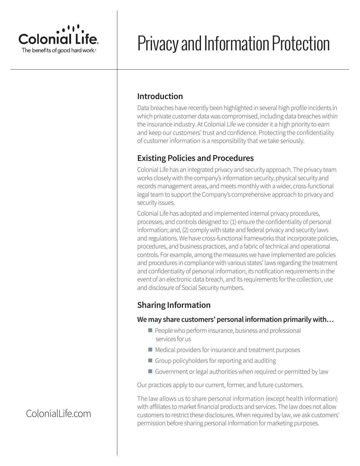

# Privacy and Information Protection

## **Introduction**

Data breaches have recently been highlighted in several high profile incidents in which private customer data was compromised, including data breaches within the insurance industry. At Colonial Life we consider it a high priority to earn and keep our customers' trust and confidence. Protecting the confidentiality of customer information is a responsibility that we take seriously.

## **Existing Policies and Procedures**

Colonial Life has an integrated privacy and security approach. The privacy team works closely with the company's information security, physical security and records management areas, and meets monthly with a wider, cross-functional legal team to support the Company's comprehensive approach to privacy and security issues.

Colonial Life has adopted and implemented internal privacy procedures, processes, and controls designed to: (1) ensure the confidentiality of personal information; and, (2) comply with state and federal privacy and security laws and regulations. We have cross-functional frameworks that incorporate policies, procedures, and business practices, and a fabric of technical and operational controls. For example, among the measures we have implemented are policies and procedures in compliance with various states' laws regarding the treatment and confidentiality of personal information, its notification requirements in the event of an electronic data breach, and its requirements for the collection, use and disclosure of Social Security numbers.

# **Sharing Information**

#### **We may share customers' personal information primarily with…**

- People who perform insurance, business and professional services for us
- $\blacksquare$  Medical providers for insurance and treatment purposes
- Group policyholders for reporting and auditing
- Government or legal authorities when required or permitted by law

Our practices apply to our current, former, and future customers.

The law allows us to share personal information (except health information) with affiliates to market financial products and services. The law does not allow customers to restrict these disclosures. When required by law, we ask customers' permission before sharing personal information for marketing purposes.

# ColonialLife.com